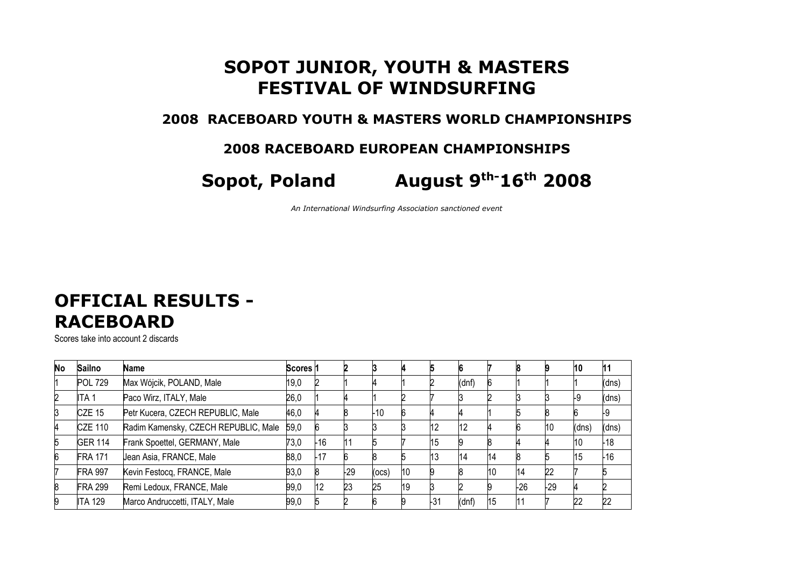## **SOPOT JUNIOR, YOUTH & MASTERS FESTIVAL OF WINDSURFING**

#### **2008 RACEBOARD YOUTH & MASTERS WORLD CHAMPIONSHIPS**

### **2008 RACEBOARD EUROPEAN CHAMPIONSHIPS**

# **Sopot, Poland August 9th-16th 2008**

*An International Windsurfing Association sanctioned event*

### **OFFICIAL RESULTS - RACEBOARD**

Scores take into account 2 discards

| <b>No</b>      | <b>Sailno</b>    | Name                                 | Scores 1 |     |       |       |    |     |       |     |       |           | 10    |       |
|----------------|------------------|--------------------------------------|----------|-----|-------|-------|----|-----|-------|-----|-------|-----------|-------|-------|
|                | <b>POL 729</b>   | Max Wójcik, POLAND, Male             | 19,0     |     |       |       |    |     | (dnf) |     |       |           |       | (dns) |
| $\overline{c}$ | ITA <sub>1</sub> | Paco Wirz, ITALY, Male               | 26,0     |     |       |       |    |     |       |     |       |           | L9    | (dns) |
| 3              | <b>CZE 15</b>    | Petr Kucera, CZECH REPUBLIC, Male    | 46,0     |     |       | $-10$ |    |     |       |     |       |           |       |       |
| 4              | <b>CZE 110</b>   | Radim Kamensky, CZECH REPUBLIC, Male | 59,0     |     |       |       |    | 112 | L     |     |       | <b>10</b> | (dns) | (dns) |
| 5              | <b>GER 114</b>   | Frank Spoettel, GERMANY, Male        | 73,0     | -16 | l11   |       |    | 15  |       |     |       |           | 10    | -18   |
| 6              | <b>FRA 171</b>   | Jean Asia, FRANCE, Male              | 88,0     | -17 |       |       |    | 13  | 14    | 14  |       |           | 15    | $-16$ |
|                | <b>FRA 997</b>   | Kevin Festocq, FRANCE, Male          | 93,0     |     | $-29$ | (ocs) | 10 |     |       | l10 | 14    | 22        |       |       |
| 8              | <b>FRA 299</b>   | Remi Ledoux, FRANCE, Male            | 99,0     | 12  | 23    | 25    | 19 |     |       |     | $-26$ | $-29$     |       |       |
| 9              | <b>ITA 129</b>   | Marco Andruccetti, ITALY, Male       | 99,0     |     |       |       |    | -31 | (dnf) | 15  |       |           | 22    | 22    |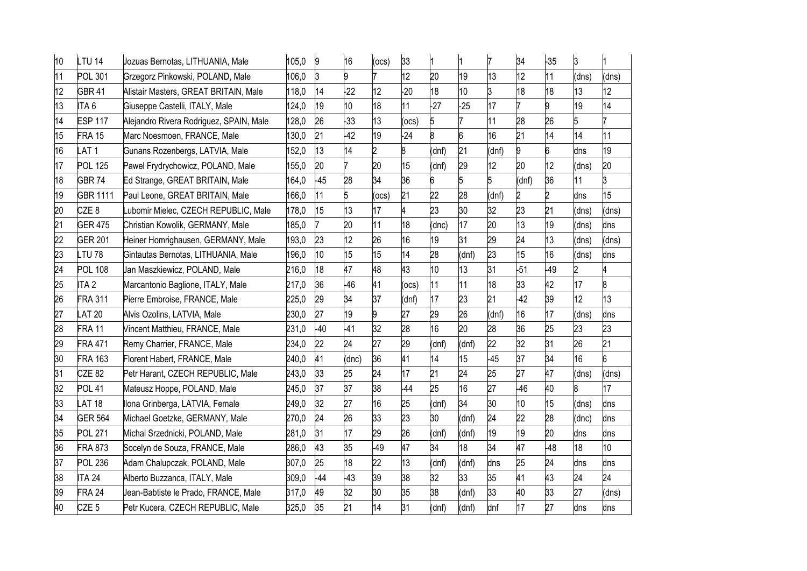| 10 | LTU 14           | Jozuas Bernotas, LITHUANIA, Male        | 105,0 | 9     | 16    | (ocs)           | 33    |       |       |       | 34    | $-35$ | ß.              |       |
|----|------------------|-----------------------------------------|-------|-------|-------|-----------------|-------|-------|-------|-------|-------|-------|-----------------|-------|
| 11 | <b>POL 301</b>   | Grzegorz Pinkowski, POLAND, Male        | 106,0 | ß.    | g     |                 | 12    | 20    | 19    | 13    | 12    | 11    | (dns)           | (dns) |
| 12 | <b>GBR 41</b>    | Alistair Masters, GREAT BRITAIN, Male   | 118,0 | 14    | 22    | 12 <sup>2</sup> | 20    | 18    | 10    | ß     | 18    | 18    | 13              | 12    |
| 13 | ITA <sub>6</sub> | Giuseppe Castelli, ITALY, Male          | 124,0 | 19    | 10    | 18              | 11    | $-27$ | $-25$ | 17    | 7     | 9     | 19              | 14    |
| 14 | <b>ESP 117</b>   | Alejandro Rivera Rodriguez, SPAIN, Male | 128,0 | 26    | $-33$ | 13              | ocs)  | 5     |       | 11    | 28    | 26    | 5               |       |
| 15 | <b>FRA 15</b>    | Marc Noesmoen, FRANCE, Male             | 130,0 | 21    | 42    | 19              | 24    | 8     | 6     | 16    | 21    | 14    | 14              | 11    |
| 16 | AT1              | Gunans Rozenbergs, LATVIA, Male         | 152,0 | h3    | 14    | $\overline{2}$  | 8     | (dnf) | 21    | (dnf) | 9     | 6     | dns             | 19    |
| 17 | <b>POL 125</b>   | Pawel Frydrychowicz, POLAND, Male       | 155,0 | 20    |       | 20              | 15    | (dnf) | 29    | 12    | 20    | 12    | (dns)           | 20    |
| 18 | <b>GBR 74</b>    | Ed Strange, GREAT BRITAIN, Male         | 164,0 | $-45$ | 28    | 34              | 36    | 6     |       | 5     | (dnf) | 36    | 11              | 3     |
| 19 | <b>GBR 1111</b>  | Paul Leone, GREAT BRITAIN, Male         | 166,0 | 11    | 5     | (ocs)           | 21    | 22    | 28    | (dnf) | 2     | 2     | dns             | 15    |
| 20 | CZE <sub>8</sub> | Lubomir Mielec, CZECH REPUBLIC, Male    | 178,0 | 15    | 13    | 17              | 4     | 23    | 30    | 32    | 23    | 21    | (dns)           | (dns) |
| 21 | <b>GER 475</b>   | Christian Kowolik, GERMANY, Male        | 185,0 |       | 20    | 11              | 18    | (dnc) | 17    | 20    | 13    | 19    | (dns)           | dns   |
| 22 | <b>GER 201</b>   | Heiner Homrighausen, GERMANY, Male      | 193,0 | 23    | 12    | 26              | 16    | 19    | 31    | 29    | 24    | 13    | dns)            | (dns) |
| 23 | <b>TU78</b>      | Gintautas Bernotas, LITHUANIA, Male     | 196,0 | 10    | 15    | 15              | 14    | 28    | (dnf) | 23    | 15    | 16    | (dns)           | dns   |
| 24 | <b>POL 108</b>   | Jan Maszkiewicz, POLAND, Male           | 216,0 | 18    | 47    | 48              | 43    | 10    | 13    | 31    | $-51$ | $-49$ |                 |       |
| 25 | ITA <sub>2</sub> | Marcantonio Baglione, ITALY, Male       | 217,0 | 36    | -46   | 41              | ocs)  | 11    | 11    | 18    | 33    | 42    | 17              |       |
| 26 | <b>FRA 311</b>   | Pierre Embroise, FRANCE, Male           | 225,0 | 29    | 34    | 37              | (dnf) | 17    | 23    | 21    | $-42$ | 39    | 12 <sup>°</sup> | 13    |
| 27 | <b>AT 20</b>     | Alvis Ozolins, LATVIA, Male             | 230,0 | 27    | 19    | 9               | 27    | 29    | 26    | (dnf) | 16    | 17    | (dns)           | dns   |
| 28 | <b>FRA 11</b>    | Vincent Matthieu, FRANCE, Male          | 231,0 | $-40$ | $-41$ | 32              | 28    | 16    | 20    | 28    | 36    | 25    | 23              | 23    |
| 29 | <b>FRA 471</b>   | Remy Charrier, FRANCE, Male             | 234,0 | 22    | 24    | 27              | 29    | (dnf) | (dnf) | 22    | 32    | 31    | 26              | 21    |
| 30 | <b>FRA 163</b>   | Florent Habert, FRANCE, Male            | 240,0 | 41    | (dnc) | 36              | 41    | 14    | 15    | $-45$ | 37    | 34    | 16              | 6     |
| 31 | <b>CZE 82</b>    | Petr Harant, CZECH REPUBLIC, Male       | 243,0 | 33    | 25    | 24              | 17    | 21    | 24    | 25    | 27    | 47    | (dns)           | (dns) |
| 32 | <b>POL 41</b>    | Mateusz Hoppe, POLAND, Male             | 245,0 | 37    | 37    | 38              | 44    | 25    | 16    | 27    | $-46$ | 40    | 8               | 17    |
| 33 | <b>AT 18</b>     | Ilona Grinberga, LATVIA, Female         | 249,0 | 32    | 27    | 16              | 25    | (dnf) | 34    | 30    | 10    | 15    | (dns)           | dns   |
| 34 | <b>GER 564</b>   | Michael Goetzke, GERMANY, Male          | 270,0 | 24    | 26    | 33              | 23    | 30    | (dnf) | 24    | 22    | 28    | (dnc)           | dns   |
| 35 | <b>POL 271</b>   | Michal Srzednicki, POLAND, Male         | 281,0 | 31    | 17    | 29              | 26    | (dnf) | (dnf) | 19    | 19    | 20    | dns             | dns   |
| 36 | <b>FRA 873</b>   | Socelyn de Souza, FRANCE, Male          | 286,0 | 43    | 35    | -49             | 47    | 34    | 18    | 34    | 47    | -48   | 18              | 10    |
| 37 | <b>POL 236</b>   | Adam Chalupczak, POLAND, Male           | 307,0 | 25    | 18    | 22              | 13    | (dnf) | (dnf) | dns   | 25    | 24    | dns             | dns   |
| 38 | <b>ITA 24</b>    | Alberto Buzzanca, ITALY, Male           | 309,0 | 44    | $-43$ | 39              | 38    | 32    | 33    | 35    | 41    | 43    | 24              | 24    |
| 39 | <b>FRA 24</b>    | Jean-Babtiste le Prado, FRANCE, Male    | 317,0 | 49    | 32    | 30              | 35    | 38    | (dnf) | 33    | 40    | 33    | 27              | (dns) |
| 40 | CZE <sub>5</sub> | Petr Kucera, CZECH REPUBLIC, Male       | 325,0 | 35    | 21    | 14              | 31    | (dnf) | (dnf) | dnf   | 17    | 27    | dns             | dns   |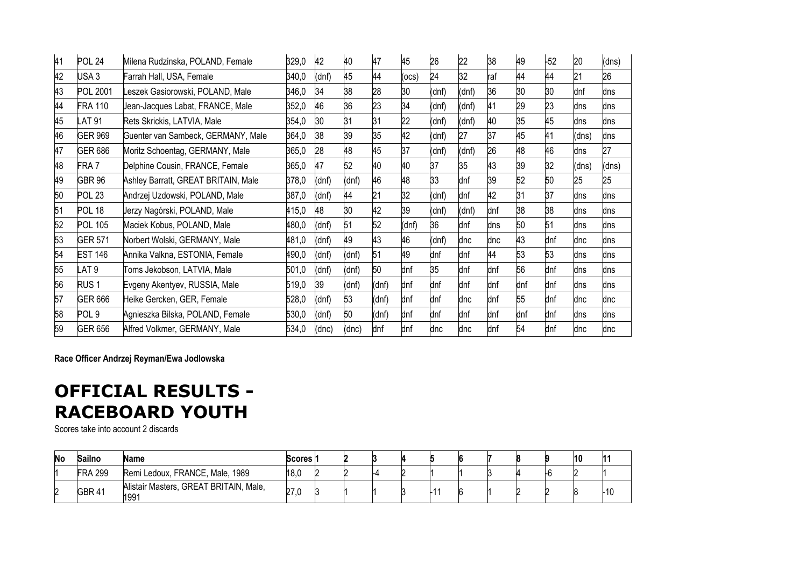| 41 | <b>POL 24</b>    | Milena Rudzinska, POLAND, Female    | 329,0 | 42    | 40    | 47    | 45    | 26    | 22    | 38  | 49  | $-52$ | 20    | (dns) |
|----|------------------|-------------------------------------|-------|-------|-------|-------|-------|-------|-------|-----|-----|-------|-------|-------|
| 42 | USA <sub>3</sub> | Farrah Hall, USA, Female            | 340,0 | (dnf) | 45    | 44    | (ocs) | 24    | 32    | raf | 44  | 44    | 21    | 26    |
| 43 | <b>POL 2001</b>  | eszek Gasiorowski, POLAND, Male     | 346,0 | 34    | 38    | 28    | 30    | (dnf) | (dnf) | 36  | 30  | 30    | dnf   | dns   |
| 44 | <b>FRA 110</b>   | Jean-Jacques Labat, FRANCE, Male    | 352,0 | 46    | 36    | 23    | 34    | (dnf) | (dnf) | 41  | 29  | 23    | dns   | dns   |
| 45 | <b>AT 91</b>     | Rets Skrickis, LATVIA, Male         | 354,0 | 30    | 31    | 31    | 22    | (dnf) | (dnf) | 40  | 35  | 45    | dns   | dns   |
| 46 | <b>GER 969</b>   | Guenter van Sambeck, GERMANY, Male  | 364,0 | 38    | 39    | 35    | 42    | (dnf) | 27    | 37  | 45  | 41    | (dns) | dns   |
| 47 | <b>GER 686</b>   | Moritz Schoentag, GERMANY, Male     | 365,0 | 28    | 48    | 45    | 37    | (dnf) | (dnf) | 26  | 48  | 46    | dns   | 27    |
| 48 | FRA 7            | Delphine Cousin, FRANCE, Female     | 365,0 | 47    | 52    | 40    | 40    | 37    | 35    | 43  | 39  | 32    | (dns) | (dns) |
| 49 | <b>GBR 96</b>    | Ashley Barratt, GREAT BRITAIN, Male | 378,0 | (dnf) | (dnf) | 46    | 48    | 33    | dnf   | 39  | 52  | 50    | 25    | 25    |
| 50 | <b>POL 23</b>    | Andrzej Uzdowski, POLAND, Male      | 387,0 | (dnf) | 44    | 21    | 32    | (dnf) | dnf   | 42  | 31  | 37    | dns   | dns   |
| 51 | <b>POL 18</b>    | Jerzy Nagórski, POLAND, Male        | 415,0 | 48    | 30    | 42    | 39    | (dnf) | (dnf) | dnf | 38  | 38    | dns   | dns   |
| 52 | <b>POL 105</b>   | Maciek Kobus, POLAND, Male          | 480,0 | (dnf) | 51    | 52    | (dnf) | 36    | dnf   | dns | 50  | 51    | dns   | dns   |
| 53 | <b>GER 571</b>   | Norbert Wolski, GERMANY, Male       | 481,0 | (dnf) | 49    | 43    | 46    | (dnf) | dnc   | dnc | 43  | dnf   | dnc   | dns   |
| 54 | <b>EST 146</b>   | Annika Valkna, ESTONIA, Female      | 490,0 | (dnf) | (dnf) | 51    | 49    | dnf   | dnf   | 44  | 53  | 53    | dns   | dns   |
| 55 | _AT 9            | Toms Jekobson, LATVIA, Male         | 501,0 | (dnf) | (dnf) | 50    | dnf   | 35    | dnf   | dnf | 56  | dnf   | dns   | dns   |
| 56 | RUS <sub>1</sub> | Evgeny Akentyev, RUSSIA, Male       | 519,0 | 39    | (dnf) | (dnf) | dnf   | dnf   | dnf   | dnf | dnf | dnf   | dns   | dns   |
| 57 | <b>GER 666</b>   | Heike Gercken, GER, Female          | 528,0 | (dnf) | 53    | (dnf) | dnf   | dnf   | dnc   | dnf | 55  | dnf   | dnc   | dnc   |
| 58 | POL <sub>9</sub> | Agnieszka Bilska, POLAND, Female    | 530,0 | (dnf) | 50    | (dnf) | dnf   | dnf   | dnf   | dnf | dnf | dnf   | dns   | dns   |
| 59 | <b>GER 656</b>   | Alfred Volkmer, GERMANY, Male       | 534,0 | (dnc) | (dnc) | dnf   | dnf   | dnc   | dnc   | dnf | 54  | dnf   | dnc   | dnc   |

**Race Officer Andrzej Reyman/Ewa Jodlowska**

## **OFFICIAL RESULTS - RACEBOARD YOUTH**

Scores take into account 2 discards

| No | <b>Sailno</b>  | Name                                           | Scores n |  |  |  |  | 10 |     |
|----|----------------|------------------------------------------------|----------|--|--|--|--|----|-----|
|    | <b>FRA 299</b> | Remi Ledoux, FRANCE, Male, 1989                | 18,0     |  |  |  |  |    |     |
| n  | <b>GBR 41</b>  | Alistair Masters, GREAT BRITAIN, Male,<br>1991 | 270      |  |  |  |  |    | -10 |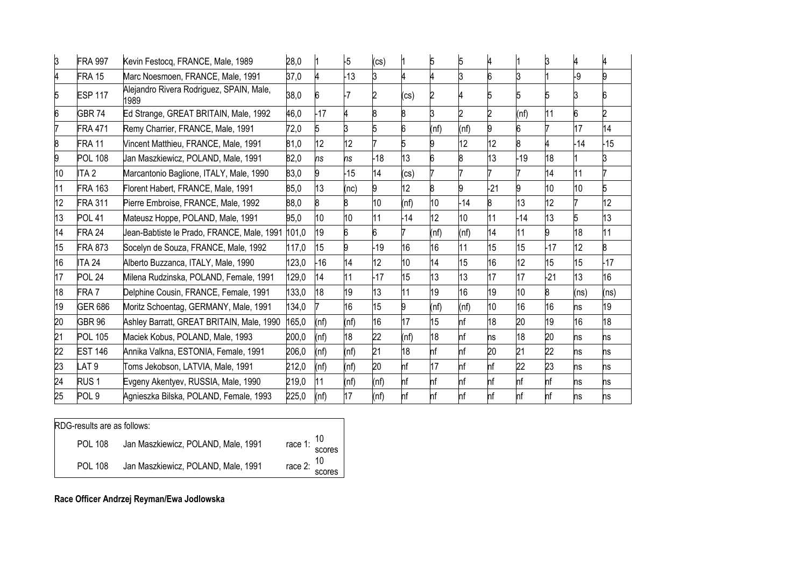|    | <b>FRA 997</b>   | Kevin Festocq, FRANCE, Male, 1989                | 28,0  |                 | $-5$  | (cs)  |                   | 5    | 5     |                  |       |       |       |                 |
|----|------------------|--------------------------------------------------|-------|-----------------|-------|-------|-------------------|------|-------|------------------|-------|-------|-------|-----------------|
|    | FRA 15           | Marc Noesmoen, FRANCE, Male, 1991                | 37,0  |                 | $-13$ |       |                   |      |       |                  | 3     |       | -9    |                 |
|    | <b>ESP 117</b>   | Alejandro Rivera Rodriguez, SPAIN, Male,<br>1989 | 38,0  |                 | -7    |       | (c <sub>S</sub> ) |      |       |                  |       |       |       |                 |
|    | <b>GBR74</b>     | Ed Strange, GREAT BRITAIN, Male, 1992            | 46,0  | $-17$           |       |       |                   |      |       |                  | (nf)  | 11    | 6     |                 |
|    | <b>FRA 471</b>   | Remy Charrier, FRANCE, Male, 1991                | 72,0  | 5               |       |       | 6                 | (nf) | (nf)  |                  |       |       | 17    | 14              |
|    | FRA 11           | Vincent Matthieu, FRANCE, Male, 1991             | 81,0  | 12              | 12    |       |                   |      | 12    | 12               |       |       | $-14$ | $-15$           |
|    | <b>POL 108</b>   | Jan Maszkiewicz, POLAND, Male, 1991              | 82,0  | ns              | ns    | $-18$ | 13                |      |       | 13               | $-19$ | 18    |       |                 |
| 10 | ITA 2            | Marcantonio Baglione, ITALY, Male, 1990          | 83,0  |                 | $-15$ | 14    | (c <sub>S</sub> ) |      |       |                  |       | 14    | 11    |                 |
| 11 | <b>FRA 163</b>   | Florent Habert, FRANCE, Male, 1991               | 85,0  | 13              | (nc)  |       | 12                | 8    | 9     | $-21$            | 9     | 10    | 10    | 5               |
| 12 | FRA 311          | Pierre Embroise, FRANCE, Male, 1992              | 88,0  |                 | 8     | ho    | (nf)              | 10   | $-14$ | 8                | 13    | 12    |       | 12 <sup>°</sup> |
| 13 | <b>POL 41</b>    | Mateusz Hoppe, POLAND, Male, 1991                | 95,0  | 10 <sup>1</sup> | 10    | 11    | $-14$             | 12   | 10    | 11               | 14    | 13    | 5     | 13              |
| 14 | FRA 24           | Jean-Babtiste le Prado, FRANCE, Male, 1991       | 101,0 | 19              | 6     |       |                   | (nf) | (nf)  | 14               | 11    | 9     | 18    | 11              |
| 15 | <b>FRA 873</b>   | Socelyn de Souza, FRANCE, Male, 1992             | 117,0 | 15              | 9     | $-19$ | 16                | 16   | 11    | 15 <sup>15</sup> | 15    | $-17$ | 12    |                 |
| 16 | <b>ITA 24</b>    | Alberto Buzzanca, ITALY, Male, 1990              | 123,0 | $-16$           | 14    | 12    | 10                | 14   | 15    | 16               | 12    | 15    | 15    | $-17$           |
| 17 | <b>POL 24</b>    | Milena Rudzinska, POLAND, Female, 1991           | 129,0 | 14              | 11    | $-17$ | 15                | 13   | 13    | 17               | 17    | 21    | 13    | 16 <sup>°</sup> |
| 18 | FRA <sub>7</sub> | Delphine Cousin, FRANCE, Female, 1991            | 133,0 | 18              | 19    | 13    | 11                | 19   | 16    | 19               | 10    | 8     | (ns)  | (ns)            |
| 19 | <b>GER 686</b>   | Moritz Schoentag, GERMANY, Male, 1991            | 134,0 |                 | 16    | 15    | 9                 | (nf) | (nf)  | 10 <sup>1</sup>  | 16    | 16    | ns    | 19              |
| 20 | <b>GBR 96</b>    | Ashley Barratt, GREAT BRITAIN, Male, 1990        | 165,0 | (nf)            | (nf)  | 16    | 17                | 15   | nf    | 18               | 20    | 19    | 16    | 18              |
| 21 | <b>POL 105</b>   | Maciek Kobus, POLAND, Male, 1993                 | 200,0 | (nf)            | 18    | 22    | (nf)              | 18   | nf    | ns               | 18    | 20    | ns    | ns              |
| 22 | <b>EST 146</b>   | Annika Valkna, ESTONIA, Female, 1991             | 206,0 | (nf)            | (nf)  | 21    | 18                | nf   | hf    | 20               | 21    | 22    | ns    | ns              |
| 23 | LAT 9            | Toms Jekobson, LATVIA, Male, 1991                | 212,0 | (nf)            | (nf)  | 20    | nf                | 17   | hf    | nf               | 22    | 23    | ns    | ns              |
| 24 | RUS <sub>1</sub> | Evgeny Akentyev, RUSSIA, Male, 1990              | 219,0 | 11              | (nf)  | (nf)  | nf                | nf   | hf    | nf               | hf    | hf    | ns    | ns              |
| 25 | POL <sub>9</sub> | Agnieszka Bilska, POLAND, Female, 1993           | 225,0 | (nf)            | 17    | (nf)  | nf                | nf   | nf    |                  | nf    | nf    | ns    | ns              |

#### RDG-results are as follows:

| POL 108 | Jan Maszkiewicz, POLAND, Male, 1991 | race 1: $\frac{10}{\text{scores}}$ |
|---------|-------------------------------------|------------------------------------|
| POL 108 | Jan Maszkiewicz, POLAND, Male, 1991 | race 2: $\frac{10}{\text{scores}}$ |

**Race Officer Andrzej Reyman/Ewa Jodlowska**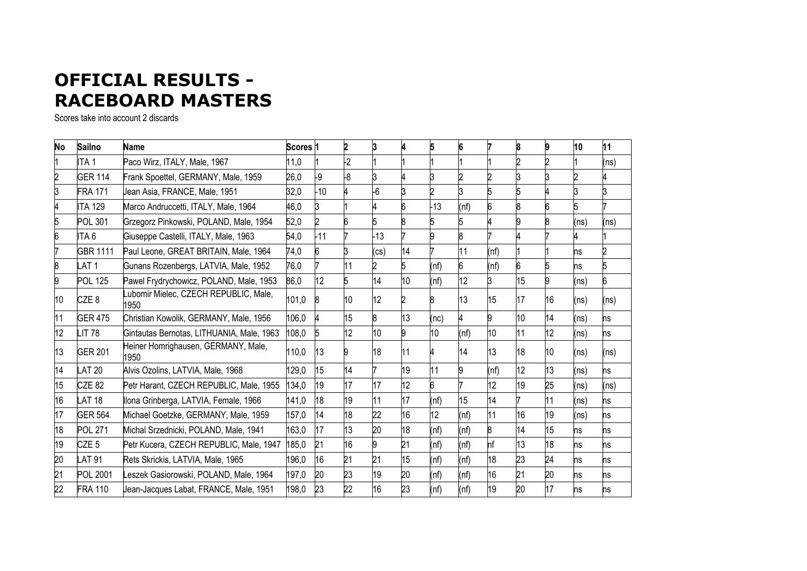## **OFFICIAL RESULTS - RACEBOARD MASTERS**

Scores take into account 2 discards

| No | <b>Sailno</b>    | <b>Name</b>                                  | Scores <sub>1</sub> |       | 2              | 3     |    |                 |      |      | 8  |    | 10   | 11   |
|----|------------------|----------------------------------------------|---------------------|-------|----------------|-------|----|-----------------|------|------|----|----|------|------|
|    | ITA 1            | Paco Wirz, ITALY, Male, 1967                 | 11,0                |       | $\overline{2}$ |       |    |                 |      |      | 2  |    |      | ns)  |
| 2  | <b>GER 114</b>   | Frank Spoettel, GERMANY, Male, 1959          | 26,0                | -9    | -8             | ß     |    |                 |      |      | 3  |    |      |      |
| 3  | <b>FRA 171</b>   | Jean Asia, FRANCE, Male, 1951                | 32,0                | $-10$ |                | $-6$  |    |                 |      |      | 5  |    |      |      |
|    | <b>ITA 129</b>   | Marco Andruccetti, ITALY, Male, 1964         | 46,0                |       |                |       |    | 13              | (nf) | 6    | 8  | 6  |      |      |
| 5  | <b>POL 301</b>   | Grzegorz Pinkowski, POLAND, Male, 1954       | 52,0                |       | 6              | 5     |    |                 |      |      | 9  | 8  | (ns) | (ns) |
| 6  | ITA 6            | Giuseppe Castelli, ITALY, Male, 1963         | 54,0                | $-11$ |                | $-13$ |    |                 |      |      |    |    |      |      |
|    | <b>GBR 1111</b>  | Paul Leone, GREAT BRITAIN, Male, 1964        | 74,0                |       |                | (cs)  | 14 |                 | 11   | (nf) |    |    | ns   |      |
| 8  | AT <sub>1</sub>  | Gunans Rozenbergs, LATVIA, Male, 1952        | 76,0                |       | 11             | 2     | 5  | (nf)            | 6    | (nf) | 6  | 5  | ns   |      |
| 9  | <b>POL 125</b>   | Pawel Frydrychowicz, POLAND, Male, 1953      | 86,0                | 12    | 5              | 14    | 10 | (nf)            | 12   |      | 15 | 9  | (ns) | 6    |
| 10 | CZE <sub>8</sub> | ubomir Mielec, CZECH REPUBLIC, Male,<br>1950 | 101,0               |       | 10             | 12    |    |                 | 13   | 15   | 17 | 16 | (ns) | (ns) |
| 11 | <b>GER 475</b>   | Christian Kowolik, GERMANY, Male, 1956       | 106,0               |       | 15             | 8     | 13 | (nc)            |      | 9    | 10 | 14 | (ns) | ns   |
| 12 | IT 78.           | Gintautas Bernotas, LITHUANIA, Male, 1963    | 108,0               |       | 12             | 10    | 9  | 10 <sup>1</sup> | (nf) | 10   | 11 | 12 | (ns) | ns   |
| 13 | <b>GER 201</b>   | Heiner Homrighausen, GERMANY, Male,<br>1950  | 110,0               | 13    |                | 18    | 11 |                 | 14   | 13   | 18 | 10 | (ns) | (ns) |
| 14 | <b>LAT 20</b>    | Alvis Ozolins, LATVIA, Male, 1968            | 129,0               | 15    | 14             |       | 19 | 11              |      | (nf) | 12 | 13 | (ns) | ns   |
| 15 | <b>CZE 82</b>    | Petr Harant, CZECH REPUBLIC, Male, 1955      | 134,0               | 19    | 17             | 17    | 12 |                 |      | 12   | 19 | 25 | (ns) | (ns) |
| 16 | LAT 18           | Ilona Grinberga, LATVIA, Female, 1966        | 141,0               | 18    | 19             | 11    | 17 | (nf)            | 15   | 14   |    | 11 | (ns) | ns   |
| 17 | <b>GER 564</b>   | Michael Goetzke, GERMANY, Male, 1959         | 157,0               | 14    | 18             | 22    | 16 | 12 <sup>2</sup> | (nf) | 11   | 16 | 19 | (ns) | ns   |
| 18 | <b>POL 271</b>   | Michal Srzednicki, POLAND, Male, 1941        | 163,0               | 17    | 13             | 20    | 18 | (nf)            | (nf) | 8    | 14 | 15 | ns   | ns   |
| 19 | CZE <sub>5</sub> | Petr Kucera, CZECH REPUBLIC, Male, 1947      | 185,0               | 21    | 16             | 9     | 21 | (nf)            | (nf) | nf   | 13 | 18 | ns   | ns   |
| 20 | LAT 91           | Rets Skrickis, LATVIA, Male, 1965            | 196,0               | 16    | 21             | 21    | 15 | (nf)            | (nf) | 18   | 23 | 24 | ns   | ns   |
| 21 | <b>POL 2001</b>  | eszek Gasiorowski, POLAND, Male, 1964        | 197,0               | 20    | 23             | 19    | 20 | (nf)            | (nf) | 16   | 21 | 20 | ns   | ns   |
| 22 | <b>FRA 110</b>   | Jean-Jacques Labat, FRANCE, Male, 1951       | 198,0               | 23    | 22             | 16    | 23 | (nf)            | (nf) | 19   | 20 | 17 | ns   | hs   |